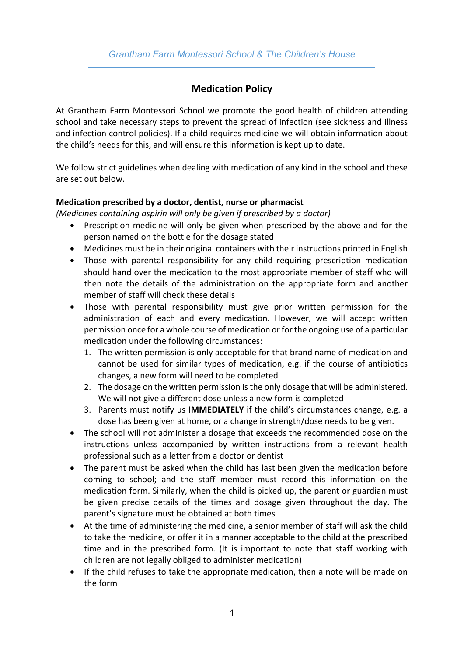## *Grantham Farm Montessori School & The Children's House*

# **Medication Policy**

At Grantham Farm Montessori School we promote the good health of children attending school and take necessary steps to prevent the spread of infection (see sickness and illness and infection control policies). If a child requires medicine we will obtain information about the child's needs for this, and will ensure this information is kept up to date.

We follow strict guidelines when dealing with medication of any kind in the school and these are set out below.

### **Medication prescribed by a doctor, dentist, nurse or pharmacist**

*(Medicines containing aspirin will only be given if prescribed by a doctor)*

- Prescription medicine will only be given when prescribed by the above and for the person named on the bottle for the dosage stated
- Medicines must be in their original containers with their instructions printed in English
- Those with parental responsibility for any child requiring prescription medication should hand over the medication to the most appropriate member of staff who will then note the details of the administration on the appropriate form and another member of staff will check these details
- Those with parental responsibility must give prior written permission for the administration of each and every medication. However, we will accept written permission once for a whole course of medication or for the ongoing use of a particular medication under the following circumstances:
	- 1. The written permission is only acceptable for that brand name of medication and cannot be used for similar types of medication, e.g. if the course of antibiotics changes, a new form will need to be completed
	- 2. The dosage on the written permission is the only dosage that will be administered. We will not give a different dose unless a new form is completed
	- 3. Parents must notify us **IMMEDIATELY** if the child's circumstances change, e.g. a dose has been given at home, or a change in strength/dose needs to be given.
- The school will not administer a dosage that exceeds the recommended dose on the instructions unless accompanied by written instructions from a relevant health professional such as a letter from a doctor or dentist
- The parent must be asked when the child has last been given the medication before coming to school; and the staff member must record this information on the medication form. Similarly, when the child is picked up, the parent or guardian must be given precise details of the times and dosage given throughout the day. The parent's signature must be obtained at both times
- At the time of administering the medicine, a senior member of staff will ask the child to take the medicine, or offer it in a manner acceptable to the child at the prescribed time and in the prescribed form. (It is important to note that staff working with children are not legally obliged to administer medication)
- If the child refuses to take the appropriate medication, then a note will be made on the form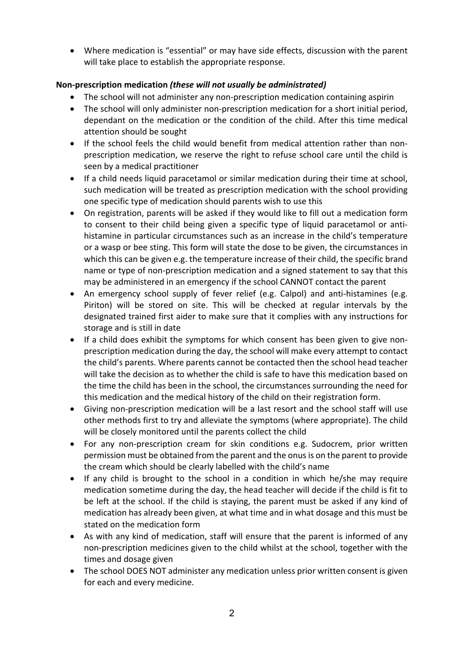• Where medication is "essential" or may have side effects, discussion with the parent will take place to establish the appropriate response.

### **Non-prescription medication** *(these will not usually be administrated)*

- The school will not administer any non-prescription medication containing aspirin
- The school will only administer non-prescription medication for a short initial period, dependant on the medication or the condition of the child. After this time medical attention should be sought
- If the school feels the child would benefit from medical attention rather than nonprescription medication, we reserve the right to refuse school care until the child is seen by a medical practitioner
- If a child needs liquid paracetamol or similar medication during their time at school, such medication will be treated as prescription medication with the school providing one specific type of medication should parents wish to use this
- On registration, parents will be asked if they would like to fill out a medication form to consent to their child being given a specific type of liquid paracetamol or antihistamine in particular circumstances such as an increase in the child's temperature or a wasp or bee sting. This form will state the dose to be given, the circumstances in which this can be given e.g. the temperature increase of their child, the specific brand name or type of non-prescription medication and a signed statement to say that this may be administered in an emergency if the school CANNOT contact the parent
- An emergency school supply of fever relief (e.g. Calpol) and anti-histamines (e.g. Piriton) will be stored on site. This will be checked at regular intervals by the designated trained first aider to make sure that it complies with any instructions for storage and is still in date
- If a child does exhibit the symptoms for which consent has been given to give nonprescription medication during the day, the school will make every attempt to contact the child's parents. Where parents cannot be contacted then the school head teacher will take the decision as to whether the child is safe to have this medication based on the time the child has been in the school, the circumstances surrounding the need for this medication and the medical history of the child on their registration form.
- Giving non-prescription medication will be a last resort and the school staff will use other methods first to try and alleviate the symptoms (where appropriate). The child will be closely monitored until the parents collect the child
- For any non-prescription cream for skin conditions e.g. Sudocrem, prior written permission must be obtained from the parent and the onus is on the parent to provide the cream which should be clearly labelled with the child's name
- If any child is brought to the school in a condition in which he/she may require medication sometime during the day, the head teacher will decide if the child is fit to be left at the school. If the child is staying, the parent must be asked if any kind of medication has already been given, at what time and in what dosage and this must be stated on the medication form
- As with any kind of medication, staff will ensure that the parent is informed of any non-prescription medicines given to the child whilst at the school, together with the times and dosage given
- The school DOES NOT administer any medication unless prior written consent is given for each and every medicine.